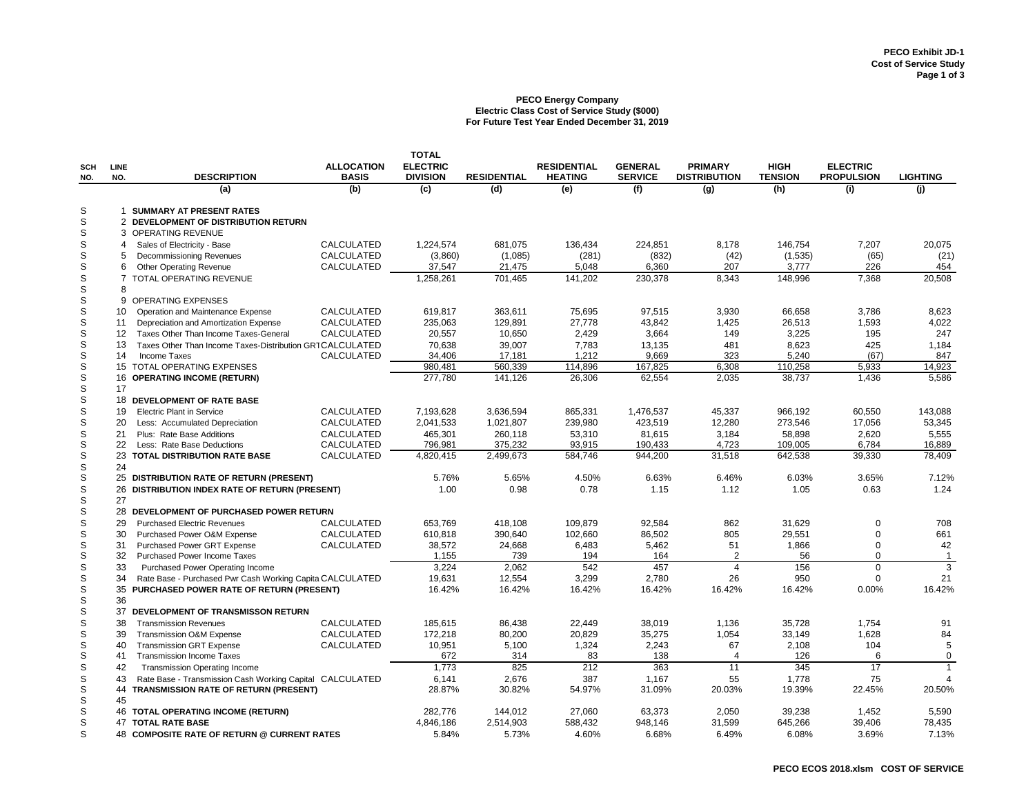## **PECO Energy Company Electric Class Cost of Service Study (\$000) For Future Test Year Ended December 31, 2019**

|                            |                    |                                                                                         |                                   | <b>TOTAL</b>                       |                    |                                      |                                  |                                       |                               |                                      |                       |
|----------------------------|--------------------|-----------------------------------------------------------------------------------------|-----------------------------------|------------------------------------|--------------------|--------------------------------------|----------------------------------|---------------------------------------|-------------------------------|--------------------------------------|-----------------------|
| <b>SCH</b><br>NO.          | <b>LINE</b><br>NO. | <b>DESCRIPTION</b>                                                                      | <b>ALLOCATION</b><br><b>BASIS</b> | <b>ELECTRIC</b><br><b>DIVISION</b> | <b>RESIDENTIAL</b> | <b>RESIDENTIAL</b><br><b>HEATING</b> | <b>GENERAL</b><br><b>SERVICE</b> | <b>PRIMARY</b><br><b>DISTRIBUTION</b> | <b>HIGH</b><br><b>TENSION</b> | <b>ELECTRIC</b><br><b>PROPULSION</b> | <b>LIGHTING</b>       |
|                            |                    | (a)                                                                                     | (b)                               | (c)                                | (d)                | (e)                                  | (f)                              | (q)                                   | (h)                           | (i)                                  | (i)                   |
| S                          |                    | 1 SUMMARY AT PRESENT RATES                                                              |                                   |                                    |                    |                                      |                                  |                                       |                               |                                      |                       |
| $\mathbb S$                |                    | 2 DEVELOPMENT OF DISTRIBUTION RETURN                                                    |                                   |                                    |                    |                                      |                                  |                                       |                               |                                      |                       |
| S                          |                    | 3 OPERATING REVENUE                                                                     |                                   |                                    |                    |                                      |                                  |                                       |                               |                                      |                       |
| S                          | 4                  | Sales of Electricity - Base                                                             | CALCULATED                        | 1,224,574                          | 681,075            | 136,434                              | 224,851                          | 8,178                                 | 146,754                       | 7,207                                | 20,075                |
| $\mathbb S$                | 5                  | Decommissioning Revenues                                                                | CALCULATED                        | (3,860)                            | (1,085)            | (281)                                | (832)                            | (42)                                  | (1,535)                       | (65)                                 | (21)                  |
| S                          | 6                  | <b>Other Operating Revenue</b>                                                          | CALCULATED                        | 37,547                             | 21,475             | 5,048                                | 6,360                            | 207                                   | 3,777                         | 226                                  | 454                   |
| $\mathbf S$                | $\overline{7}$     | <b>TOTAL OPERATING REVENUE</b>                                                          |                                   | 1,258,261                          | 701,465            | 141,202                              | 230,378                          | 8,343                                 | 148,996                       | 7,368                                | 20,508                |
| $\mathbb S$                | 8                  |                                                                                         |                                   |                                    |                    |                                      |                                  |                                       |                               |                                      |                       |
| $\mathbb S$                | 9                  | <b>OPERATING EXPENSES</b>                                                               |                                   |                                    |                    |                                      |                                  |                                       |                               |                                      |                       |
| $\mathbb S$                | 10                 | Operation and Maintenance Expense                                                       | CALCULATED                        | 619,817                            | 363,611            | 75,695                               | 97,515                           | 3,930                                 | 66,658                        | 3,786                                | 8,623                 |
| $\mathbb S$                | 11                 | Depreciation and Amortization Expense                                                   | <b>CALCULATED</b>                 | 235,063                            | 129,891            | 27,778                               | 43,842                           | 1,425                                 | 26,513                        | 1,593                                | 4,022                 |
| $\mathbb S$                | 12                 | Taxes Other Than Income Taxes-General                                                   | CALCULATED                        | 20,557                             | 10,650             | 2,429                                | 3,664                            | 149                                   | 3,225                         | 195                                  | 247                   |
| $\mathbb S$                | 13                 | Taxes Other Than Income Taxes-Distribution GRTCALCULATED                                |                                   | 70,638                             | 39,007             | 7,783                                | 13,135                           | 481                                   | 8,623                         | 425                                  | 1,184                 |
| S                          | 14                 | Income Taxes                                                                            | CALCULATED                        | 34,406                             | 17,181             | 1,212                                | 9,669                            | 323                                   | 5,240                         | (67)                                 | 847                   |
| $\mathbf S$                |                    | 15 TOTAL OPERATING EXPENSES                                                             |                                   | 980,481                            | 560,339            | 114,896                              | 167,825                          | 6,308                                 | 110,258                       | 5,933                                | 14,923                |
| $\mathbb S$                | 16                 | <b>OPERATING INCOME (RETURN)</b>                                                        |                                   | 277,780                            | 141,126            | 26,306                               | 62,554                           | 2,035                                 | 38,737                        | 1,436                                | 5,586                 |
| $\mathbb S$                | 17                 |                                                                                         |                                   |                                    |                    |                                      |                                  |                                       |                               |                                      |                       |
| $\mathbb S$                |                    | 18 DEVELOPMENT OF RATE BASE                                                             |                                   |                                    |                    |                                      |                                  |                                       |                               |                                      |                       |
| $\mathbb S$                | 19                 | <b>Electric Plant in Service</b>                                                        | CALCULATED                        | 7,193,628                          | 3,636,594          | 865,331                              | 1,476,537                        | 45,337                                | 966,192                       | 60,550                               | 143,088               |
| $\mathbb S$                | 20                 | Less: Accumulated Depreciation                                                          | CALCULATED                        | 2,041,533                          | 1,021,807          | 239,980                              | 423,519                          | 12,280                                | 273,546                       | 17,056                               | 53,345                |
| $\mathbf S$<br>$\mathbb S$ | 21<br>22           | Plus: Rate Base Additions                                                               | <b>CALCULATED</b>                 | 465.301                            | 260.118            | 53,310                               | 81.615                           | 3.184                                 | 58.898                        | 2.620                                | 5,555                 |
|                            |                    | Less: Rate Base Deductions                                                              | CALCULATED                        | 796,981                            | 375,232            | 93,915                               | 190,433                          | 4,723                                 | 109,005                       | 6,784                                | 16,889                |
| S                          | 23                 | TOTAL DISTRIBUTION RATE BASE                                                            | CALCULATED                        | 4,820,415                          | 2,499,673          | 584,746                              | 944,200                          | 31,518                                | 642,538                       | 39,330                               | 78,409                |
| S<br>$\mathbb S$           | 24                 |                                                                                         |                                   | 5.76%                              | 5.65%              | 4.50%                                | 6.63%                            | 6.46%                                 | 6.03%                         | 3.65%                                | 7.12%                 |
| $\mathbf S$                | 26                 | 25 DISTRIBUTION RATE OF RETURN (PRESENT)<br>DISTRIBUTION INDEX RATE OF RETURN (PRESENT) |                                   | 1.00                               | 0.98               | 0.78                                 | 1.15                             | 1.12                                  | 1.05                          | 0.63                                 | 1.24                  |
| $\mathbf S$                | 27                 |                                                                                         |                                   |                                    |                    |                                      |                                  |                                       |                               |                                      |                       |
| $\mathbb S$                |                    | 28 DEVELOPMENT OF PURCHASED POWER RETURN                                                |                                   |                                    |                    |                                      |                                  |                                       |                               |                                      |                       |
| $\mathbb S$                | 29                 | <b>Purchased Electric Revenues</b>                                                      | <b>CALCULATED</b>                 | 653,769                            | 418,108            | 109.879                              | 92,584                           | 862                                   | 31,629                        | $\mathbf 0$                          | 708                   |
| S                          | 30                 | Purchased Power O&M Expense                                                             | CALCULATED                        | 610,818                            | 390,640            | 102,660                              | 86,502                           | 805                                   | 29,551                        | $\mathbf 0$                          | 661                   |
| $\mathbb S$                | 31                 | <b>Purchased Power GRT Expense</b>                                                      | CALCULATED                        | 38,572                             | 24,668             | 6,483                                | 5,462                            | 51                                    | 1,866                         | $\mathbf 0$                          | 42                    |
| $\mathbb S$                | 32                 | Purchased Power Income Taxes                                                            |                                   | 1,155                              | 739                | 194                                  | 164                              | $\overline{2}$                        | 56                            | $\mathbf 0$                          | $\overline{1}$        |
| $\mathbb S$                | 33                 | Purchased Power Operating Income                                                        |                                   | 3,224                              | 2,062              | 542                                  | 457                              | $\overline{4}$                        | 156                           | $\Omega$                             | $\overline{3}$        |
| $\mathbb S$                | 34                 | Rate Base - Purchased Pwr Cash Working Capita CALCULATED                                |                                   | 19.631                             | 12,554             | 3,299                                | 2,780                            | 26                                    | 950                           | $\Omega$                             | 21                    |
| S                          | 35                 | PURCHASED POWER RATE OF RETURN (PRESENT)                                                |                                   | 16.42%                             | 16.42%             | 16.42%                               | 16.42%                           | 16.42%                                | 16.42%                        | 0.00%                                | 16.42%                |
| $\mathbb S$                | 36                 |                                                                                         |                                   |                                    |                    |                                      |                                  |                                       |                               |                                      |                       |
| $\mathbb S$                | 37                 | DEVELOPMENT OF TRANSMISSON RETURN                                                       |                                   |                                    |                    |                                      |                                  |                                       |                               |                                      |                       |
| $\mathbb S$                | 38                 | <b>Transmission Revenues</b>                                                            | CALCULATED                        | 185,615                            | 86,438             | 22,449                               | 38,019                           | 1,136                                 | 35,728                        | 1,754                                | 91                    |
| $\mathbb S$                | 39                 | Transmission O&M Expense                                                                | <b>CALCULATED</b>                 | 172,218                            | 80,200             | 20,829                               | 35,275                           | 1,054                                 | 33,149                        | 1,628                                | 84                    |
| $\mathbb S$                | 40                 | <b>Transmission GRT Expense</b>                                                         | <b>CALCULATED</b>                 | 10,951                             | 5,100              | 1,324                                | 2,243                            | 67                                    | 2,108                         | 104                                  | 5                     |
| $\mathbb S$                | 41                 | <b>Transmission Income Taxes</b>                                                        |                                   | 672                                | 314                | 83                                   | 138                              | $\overline{\mathbf{4}}$               | 126                           | 6                                    | $\mathbf 0$           |
| $\mathbb S$                | 42                 | <b>Transmission Operating Income</b>                                                    |                                   | 1,773                              | 825                | 212                                  | 363                              | 11                                    | 345                           | 17                                   | $\overline{1}$        |
| $\mathbb S$                | 43                 | Rate Base - Transmission Cash Working Capital<br>CALCULATED                             |                                   | 6,141                              | 2,676              | 387                                  | 1,167                            | 55                                    | 1,778                         | 75                                   | $\boldsymbol{\Delta}$ |
| $\mathbb S$                | 44                 | TRANSMISSION RATE OF RETURN (PRESENT)                                                   |                                   | 28.87%                             | 30.82%             | 54.97%                               | 31.09%                           | 20.03%                                | 19.39%                        | 22.45%                               | 20.50%                |
| S                          | 45                 |                                                                                         |                                   |                                    |                    |                                      |                                  |                                       |                               |                                      |                       |
| S                          |                    | 46 TOTAL OPERATING INCOME (RETURN)                                                      |                                   | 282,776                            | 144,012            | 27,060                               | 63,373                           | 2,050                                 | 39,238                        | 1,452                                | 5,590                 |
| S                          |                    | <b>47 TOTAL RATE BASE</b>                                                               |                                   | 4,846,186                          | 2,514,903          | 588,432                              | 948,146                          | 31,599                                | 645,266                       | 39,406                               | 78,435                |
| S                          | 48                 | <b>COMPOSITE RATE OF RETURN @ CURRENT RATES</b>                                         |                                   | 5.84%                              | 5.73%              | 4.60%                                | 6.68%                            | 6.49%                                 | 6.08%                         | 3.69%                                | 7.13%                 |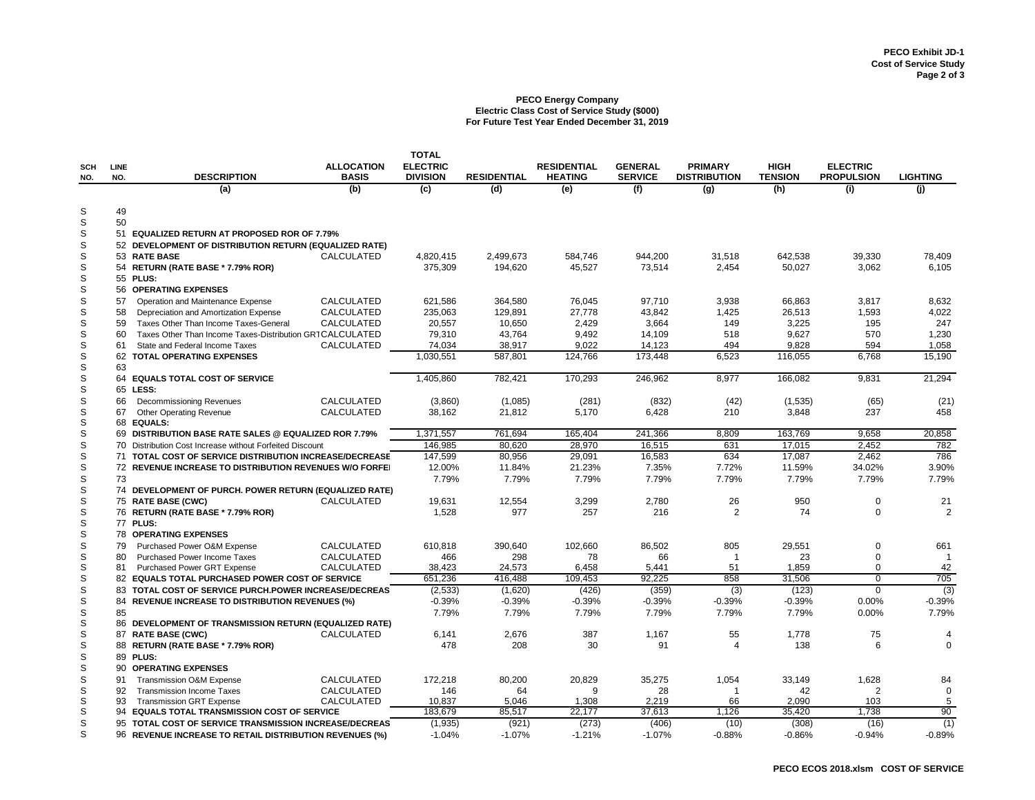## **PECO Energy Company Electric Class Cost of Service Study (\$000) For Future Test Year Ended December 31, 2019**

|                            |                    |                                                           |                                   | <b>TOTAL</b>                       |                    |                                      |                                  |                                       |                               |                                      |                 |
|----------------------------|--------------------|-----------------------------------------------------------|-----------------------------------|------------------------------------|--------------------|--------------------------------------|----------------------------------|---------------------------------------|-------------------------------|--------------------------------------|-----------------|
| <b>SCH</b><br>NO.          | <b>LINE</b><br>NO. | <b>DESCRIPTION</b>                                        | <b>ALLOCATION</b><br><b>BASIS</b> | <b>ELECTRIC</b><br><b>DIVISION</b> | <b>RESIDENTIAL</b> | <b>RESIDENTIAL</b><br><b>HEATING</b> | <b>GENERAL</b><br><b>SERVICE</b> | <b>PRIMARY</b><br><b>DISTRIBUTION</b> | <b>HIGH</b><br><b>TENSION</b> | <b>ELECTRIC</b><br><b>PROPULSION</b> | <b>LIGHTING</b> |
|                            |                    | (a)                                                       | (b)                               | (c)                                | (d)                | (e)                                  | (f)                              | (g)                                   | (h)                           | (i)                                  | (i)             |
| S                          | 49                 |                                                           |                                   |                                    |                    |                                      |                                  |                                       |                               |                                      |                 |
| S                          | 50                 |                                                           |                                   |                                    |                    |                                      |                                  |                                       |                               |                                      |                 |
| S                          |                    | 51 EQUALIZED RETURN AT PROPOSED ROR OF 7.79%              |                                   |                                    |                    |                                      |                                  |                                       |                               |                                      |                 |
| S                          |                    | 52 DEVELOPMENT OF DISTRIBUTION RETURN (EQUALIZED RATE)    |                                   |                                    |                    |                                      |                                  |                                       |                               |                                      |                 |
| S                          |                    | 53 RATE BASE                                              | CALCULATED                        | 4,820,415                          | 2,499,673          | 584,746                              | 944,200                          | 31,518                                | 642,538                       | 39,330                               | 78,409          |
| S                          |                    | 54 RETURN (RATE BASE * 7.79% ROR)                         |                                   | 375,309                            | 194,620            | 45,527                               | 73,514                           | 2,454                                 | 50,027                        | 3,062                                | 6,105           |
| S                          |                    | 55 PLUS:                                                  |                                   |                                    |                    |                                      |                                  |                                       |                               |                                      |                 |
| S                          |                    | 56 OPERATING EXPENSES                                     |                                   |                                    |                    |                                      |                                  |                                       |                               |                                      |                 |
| $\mathbb S$                | 57                 | Operation and Maintenance Expense                         | <b>CALCULATED</b>                 | 621,586                            | 364,580            | 76,045                               | 97,710                           | 3,938                                 | 66,863                        | 3,817                                | 8,632           |
| S                          | 58                 | Depreciation and Amortization Expense                     | CALCULATED                        | 235,063                            | 129,891            | 27,778                               | 43,842                           | 1,425                                 | 26,513                        | 1,593                                | 4,022           |
| S                          | 59                 | Taxes Other Than Income Taxes-General                     | CALCULATED                        | 20,557                             | 10,650             | 2,429                                | 3,664                            | 149                                   | 3,225                         | 195                                  | 247             |
| S                          | 60                 | Taxes Other Than Income Taxes-Distribution GRTCALCULATED  |                                   | 79,310                             | 43,764             | 9,492                                | 14,109                           | 518                                   | 9,627                         | 570                                  | 1,230           |
| $\mathbb S$                | 61                 | State and Federal Income Taxes                            | CALCULATED                        | 74,034                             | 38,917             | 9,022                                | 14,123                           | 494                                   | 9,828                         | 594                                  | 1,058           |
| $\mathbb S$                | 62                 | <b>TOTAL OPERATING EXPENSES</b>                           |                                   | 1,030,551                          | 587,801            | 124,766                              | 173,448                          | 6,523                                 | 116,055                       | 6,768                                | 15,190          |
| S                          | 63                 |                                                           |                                   |                                    |                    |                                      |                                  |                                       |                               |                                      |                 |
| $\mathbb S$<br>$\mathbb S$ |                    | 64 EQUALS TOTAL COST OF SERVICE<br>65 LESS:               |                                   | 1,405,860                          | 782,421            | 170,293                              | 246,962                          | 8,977                                 | 166,082                       | 9,831                                | 21,294          |
| $\mathbb S$                | 66                 | <b>Decommissioning Revenues</b>                           | <b>CALCULATED</b>                 | (3,860)                            | (1,085)            | (281)                                | (832)                            | (42)                                  | (1,535)                       | (65)                                 | (21)            |
| S                          | 67                 | <b>Other Operating Revenue</b>                            | CALCULATED                        | 38,162                             | 21,812             | 5,170                                | 6,428                            | 210                                   | 3,848                         | 237                                  | 458             |
| S                          |                    | 68 EQUALS:                                                |                                   |                                    |                    |                                      |                                  |                                       |                               |                                      |                 |
| S                          | 69                 | <b>DISTRIBUTION BASE RATE SALES @ EQUALIZED ROR 7.79%</b> |                                   | 1.371.557                          | 761,694            | 165,404                              | 241,366                          | 8.809                                 | 163,769                       | 9,658                                | 20,858          |
| $\mathbb S$                |                    | 70 Distribution Cost Increase without Forfeited Discount  |                                   | 146,985                            | 80,620             | 28,970                               | 16,515                           | 631                                   | 17,015                        | 2,452                                | 782             |
| S                          |                    | 71 TOTAL COST OF SERVICE DISTRIBUTION INCREASE/DECREASE   |                                   | 147,599                            | 80,956             | 29,091                               | 16,583                           | 634                                   | 17,087                        | 2,462                                | 786             |
| S                          |                    | 72 REVENUE INCREASE TO DISTRIBUTION REVENUES W/O FORFEI   |                                   | 12.00%                             | 11.84%             | 21.23%                               | 7.35%                            | 7.72%                                 | 11.59%                        | 34.02%                               | 3.90%           |
| S                          | 73                 |                                                           |                                   | 7.79%                              | 7.79%              | 7.79%                                | 7.79%                            | 7.79%                                 | 7.79%                         | 7.79%                                | 7.79%           |
| $\mathbb S$                |                    | 74 DEVELOPMENT OF PURCH. POWER RETURN (EQUALIZED RATE)    |                                   |                                    |                    |                                      |                                  |                                       |                               |                                      |                 |
| S                          |                    | 75 RATE BASE (CWC)                                        | <b>CALCULATED</b>                 | 19,631                             | 12,554             | 3,299                                | 2,780                            | 26                                    | 950                           | $\mathbf 0$                          | 21              |
| S                          | 76                 | <b>RETURN (RATE BASE * 7.79% ROR)</b>                     |                                   | 1,528                              | 977                | 257                                  | 216                              | $\overline{2}$                        | 74                            | $\mathbf 0$                          | $\overline{2}$  |
| $\mathbf S$                |                    | 77 PLUS:                                                  |                                   |                                    |                    |                                      |                                  |                                       |                               |                                      |                 |
| S                          |                    | <b>78 OPERATING EXPENSES</b>                              |                                   |                                    |                    |                                      |                                  |                                       |                               |                                      |                 |
| $\mathbb S$                | 79                 | Purchased Power O&M Expense                               | CALCULATED                        | 610,818                            | 390,640            | 102,660                              | 86,502                           | 805                                   | 29,551                        | $\mathbf 0$                          | 661             |
| S                          | 80                 | Purchased Power Income Taxes                              | CALCULATED                        | 466                                | 298                | 78                                   | 66                               | -1                                    | 23                            | 0                                    |                 |
| S                          | 81                 | Purchased Power GRT Expense                               | CALCULATED                        | 38,423                             | 24,573             | 6,458                                | 5,441                            | 51                                    | 1,859                         | $\mathbf 0$                          | 42              |
| $\mathbb S$                |                    | 82 EQUALS TOTAL PURCHASED POWER COST OF SERVICE           |                                   | 651,236                            | 416,488            | 109,453                              | 92,225                           | 858                                   | 31,506                        | 0                                    | 705             |
| $\mathbb S$                |                    | 83 TOTAL COST OF SERVICE PURCH.POWER INCREASE/DECREAS     |                                   | (2,533)                            | (1,620)            | (426)                                | (359)                            | (3)                                   | (123)                         | $\overline{0}$                       | (3)             |
| S                          |                    | 84 REVENUE INCREASE TO DISTRIBUTION REVENUES (%)          |                                   | $-0.39%$                           | $-0.39%$           | $-0.39%$                             | $-0.39%$                         | $-0.39%$                              | $-0.39%$                      | 0.00%                                | $-0.39%$        |
| S                          | 85                 |                                                           |                                   | 7.79%                              | 7.79%              | 7.79%                                | 7.79%                            | 7.79%                                 | 7.79%                         | 0.00%                                | 7.79%           |
| S                          | 86                 | DEVELOPMENT OF TRANSMISSION RETURN (EQUALIZED RATE)       |                                   |                                    |                    |                                      |                                  |                                       |                               |                                      |                 |
| S                          |                    | 87 RATE BASE (CWC)                                        | <b>CALCULATED</b>                 | 6,141                              | 2,676              | 387                                  | 1.167                            | 55                                    | 1.778                         | 75                                   | $\overline{4}$  |
| $\mathbb S$                | 88                 | RETURN (RATE BASE * 7.79% ROR)                            |                                   | 478                                | 208                | 30                                   | 91                               | $\overline{4}$                        | 138                           | 6                                    | $\Omega$        |
| S                          |                    | 89 PLUS:                                                  |                                   |                                    |                    |                                      |                                  |                                       |                               |                                      |                 |
| S                          | 90                 | <b>OPERATING EXPENSES</b>                                 |                                   |                                    |                    |                                      |                                  |                                       |                               |                                      |                 |
| S                          | 91                 | <b>Transmission O&amp;M Expense</b>                       | CALCULATED                        | 172,218                            | 80,200             | 20,829                               | 35,275                           | 1,054                                 | 33,149                        | 1,628                                | 84              |
| S                          | 92                 | <b>Transmission Income Taxes</b>                          | CALCULATED                        | 146                                | 64                 | 9                                    | 28                               | $\mathbf 1$                           | 42                            | 2                                    | $\Omega$        |
| S                          | 93                 | <b>Transmission GRT Expense</b>                           | CALCULATED                        | 10,837                             | 5,046              | 1,308                                | 2,219                            | 66                                    | 2,090                         | 103                                  | 5               |
| $\mathbb S$                |                    | 94 EQUALS TOTAL TRANSMISSION COST OF SERVICE              |                                   |                                    | 85,517             | 22,177                               | 37,613                           | 1,126                                 | 35,420                        | 1,738                                | 90              |
| S                          | 95                 | TOTAL COST OF SERVICE TRANSMISSION INCREASE/DECREAS       |                                   |                                    | (921)              | (273)                                | (406)                            | (10)                                  | (308)                         | (16)                                 | (1)             |
| S                          |                    | 96 REVENUE INCREASE TO RETAIL DISTRIBUTION REVENUES (%)   |                                   | $-1.04%$                           | $-1.07%$           | $-1.21%$                             | $-1.07%$                         | $-0.88%$                              | $-0.86%$                      | $-0.94%$                             | $-0.89%$        |